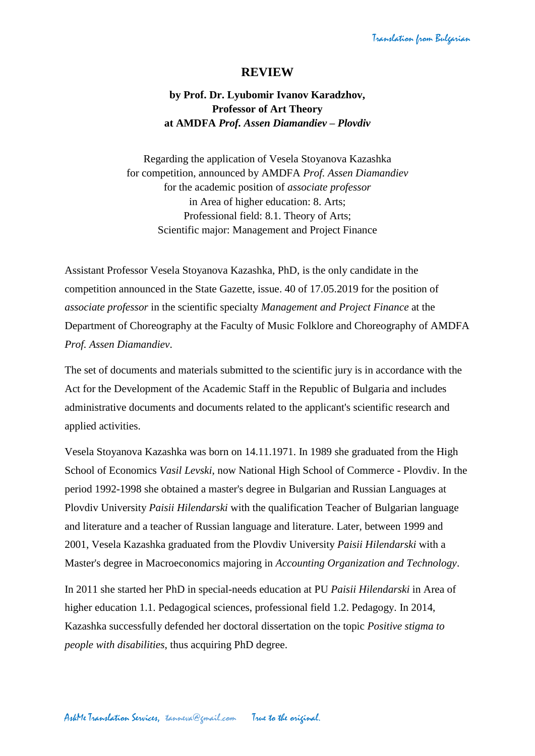## **REVIEW**

## **by Prof. Dr. Lyubomir Ivanov Karadzhov, Professor of Art Theory at AMDFA** *Prof. Assen Diamandiev – Plovdiv*

Regarding the application of Vesela Stoyanova Kazashka for competition, announced by AMDFA *Prof. Assen Diamandiev* for the academic position of *associate professor* in Area of higher education: 8. Arts; Professional field: 8.1. Theory of Arts; Scientific major: Management and Project Finance

Assistant Professor Vesela Stoyanova Kazashka, PhD, is the only candidate in the competition announced in the State Gazette, issue. 40 of 17.05.2019 for the position of *associate professor* in the scientific specialty *Management and Project Finance* at the Department of Choreography at the Faculty of Music Folklore and Choreography of AMDFA *Prof. Assen Diamandiev*.

The set of documents and materials submitted to the scientific jury is in accordance with the Act for the Development of the Academic Staff in the Republic of Bulgaria and includes administrative documents and documents related to the applicant's scientific research and applied activities.

Vesela Stoyanova Kazashka was born on 14.11.1971. In 1989 she graduated from the High School of Economics *Vasil Levski*, now National High School of Commerce - Plovdiv. In the period 1992-1998 she obtained a master's degree in Bulgarian and Russian Languages at Plovdiv University *Paisii Hilendarski* with the qualification Teacher of Bulgarian language and literature and a teacher of Russian language and literature. Later, between 1999 and 2001, Vesela Kazashka graduated from the Plovdiv University *Paisii Hilendarski* with a Master's degree in Macroeconomics majoring in *Accounting Organization and Technology*.

In 2011 she started her PhD in special-needs education at PU *Paisii Hilendarski* in Area of higher education 1.1. Pedagogical sciences, professional field 1.2. Pedagogy. In 2014, Kazashka successfully defended her doctoral dissertation on the topic *Positive stigma to people with disabilities*, thus acquiring PhD degree.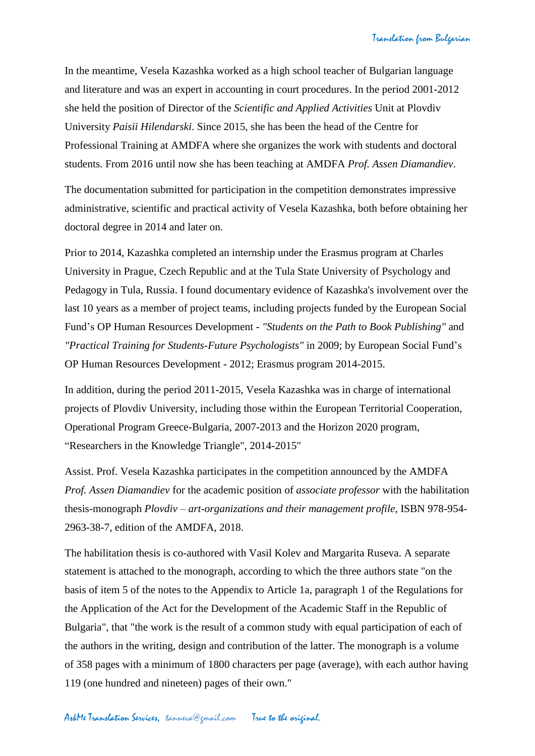In the meantime, Vesela Kazashka worked as a high school teacher of Bulgarian language and literature and was an expert in accounting in court procedures. In the period 2001-2012 she held the position of Director of the *Scientific and Applied Activities* Unit at Plovdiv University *Paisii Hilendarski*. Since 2015, she has been the head of the Centre for Professional Training at AMDFA where she organizes the work with students and doctoral students. From 2016 until now she has been teaching at AMDFA *Prof. Assen Diamandiev*.

The documentation submitted for participation in the competition demonstrates impressive administrative, scientific and practical activity of Vesela Kazashka, both before obtaining her doctoral degree in 2014 and later on.

Prior to 2014, Kazashka completed an internship under the Erasmus program at Charles University in Prague, Czech Republic and at the Tula State University of Psychology and Pedagogy in Tula, Russia. I found documentary evidence of Kazashka's involvement over the last 10 years as a member of project teams, including projects funded by the European Social Fund's OP Human Resources Development - *"Students on the Path to Book Publishing"* and *"Practical Training for Students-Future Psychologists"* in 2009; by European Social Fund's OP Human Resources Development - 2012; Erasmus program 2014-2015.

In addition, during the period 2011-2015, Vesela Kazashka was in charge of international projects of Plovdiv University, including those within the European Territorial Cooperation, Operational Program Greece-Bulgaria, 2007-2013 and the Horizon 2020 program, "Researchers in the Knowledge Triangle", 2014-2015"

Assist. Prof. Vesela Kazashka participates in the competition announced by the AMDFA *Prof. Assen Diamandiev* for the academic position of *associate professor* with the habilitation thesis-monograph *Plovdiv – art-organizations and their management profile*, ISBN 978-954- 2963-38-7, edition of the AMDFA, 2018.

The habilitation thesis is co-authored with Vasil Kolev and Margarita Ruseva. A separate statement is attached to the monograph, according to which the three authors state "on the basis of item 5 of the notes to the Appendix to Article 1a, paragraph 1 of the Regulations for the Application of the Act for the Development of the Academic Staff in the Republic of Bulgaria", that "the work is the result of a common study with equal participation of each of the authors in the writing, design and contribution of the latter. The monograph is a volume of 358 pages with a minimum of 1800 characters per page (average), with each author having 119 (one hundred and nineteen) pages of their own."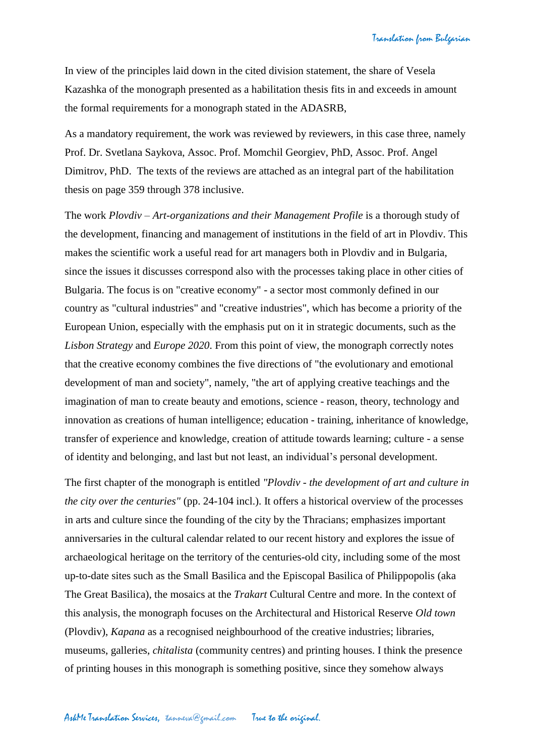In view of the principles laid down in the cited division statement, the share of Vesela Kazashka of the monograph presented as a habilitation thesis fits in and exceeds in amount the formal requirements for a monograph stated in the ADASRB,

As a mandatory requirement, the work was reviewed by reviewers, in this case three, namely Prof. Dr. Svetlana Saykova, Assoc. Prof. Momchil Georgiev, PhD, Assoc. Prof. Angel Dimitrov, PhD. The texts of the reviews are attached as an integral part of the habilitation thesis on page 359 through 378 inclusive.

The work *Plovdiv – Art-organizations and their Management Profile* is a thorough study of the development, financing and management of institutions in the field of art in Plovdiv. This makes the scientific work a useful read for art managers both in Plovdiv and in Bulgaria, since the issues it discusses correspond also with the processes taking place in other cities of Bulgaria. The focus is on "creative economy" - a sector most commonly defined in our country as "cultural industries" and "creative industries", which has become a priority of the European Union, especially with the emphasis put on it in strategic documents, such as the *Lisbon Strategy* and *Europe 2020*. From this point of view, the monograph correctly notes that the creative economy combines the five directions of "the evolutionary and emotional development of man and society", namely, "the art of applying creative teachings and the imagination of man to create beauty and emotions, science - reason, theory, technology and innovation as creations of human intelligence; education - training, inheritance of knowledge, transfer of experience and knowledge, creation of attitude towards learning; culture - a sense of identity and belonging, and last but not least, an individual's personal development.

The first chapter of the monograph is entitled *"Plovdiv - the development of art and culture in the city over the centuries"* (pp. 24-104 incl.). It offers a historical overview of the processes in arts and culture since the founding of the city by the Thracians; emphasizes important anniversaries in the cultural calendar related to our recent history and explores the issue of archaeological heritage on the territory of the centuries-old city, including some of the most up-to-date sites such as the Small Basilica and the Episcopal Basilica of Philippopolis (aka The Great Basilica), the mosaics at the *Trakart* Cultural Centre and more. In the context of this analysis, the monograph focuses on the Architectural and Historical Reserve *Old town* (Plovdiv), *Kapana* as a recognised neighbourhood of the creative industries; libraries, museums, galleries, *chitalista* (community centres) and printing houses. I think the presence of printing houses in this monograph is something positive, since they somehow always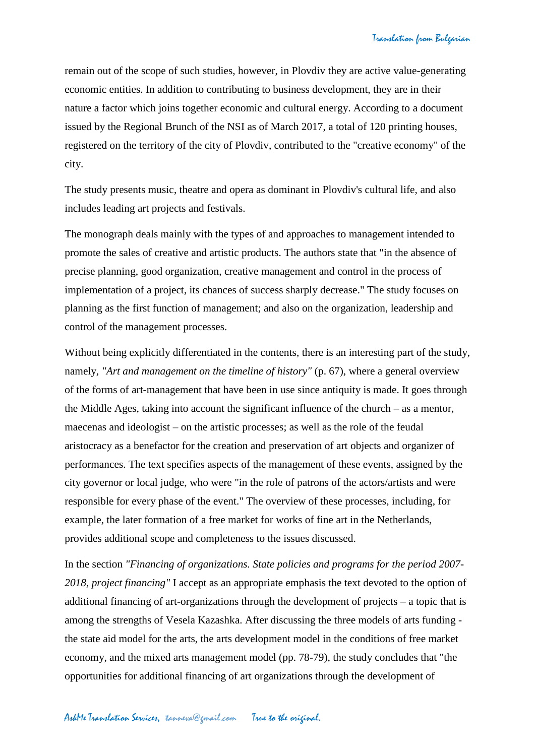remain out of the scope of such studies, however, in Plovdiv they are active value-generating economic entities. In addition to contributing to business development, they are in their nature a factor which joins together economic and cultural energy. According to a document issued by the Regional Brunch of the NSI as of March 2017, a total of 120 printing houses, registered on the territory of the city of Plovdiv, contributed to the "creative economy" of the city.

The study presents music, theatre and opera as dominant in Plovdiv's cultural life, and also includes leading art projects and festivals.

The monograph deals mainly with the types of and approaches to management intended to promote the sales of creative and artistic products. The authors state that "in the absence of precise planning, good organization, creative management and control in the process of implementation of a project, its chances of success sharply decrease." The study focuses on planning as the first function of management; and also on the organization, leadership and control of the management processes.

Without being explicitly differentiated in the contents, there is an interesting part of the study, namely, *"Art and management on the timeline of history"* (p. 67), where a general overview of the forms of art-management that have been in use since antiquity is made. It goes through the Middle Ages, taking into account the significant influence of the church – as a mentor, maecenas and ideologist – on the artistic processes; as well as the role of the feudal aristocracy as a benefactor for the creation and preservation of art objects and organizer of performances. The text specifies aspects of the management of these events, assigned by the city governor or local judge, who were "in the role of patrons of the actors/artists and were responsible for every phase of the event." The overview of these processes, including, for example, the later formation of a free market for works of fine art in the Netherlands, provides additional scope and completeness to the issues discussed.

In the section *"Financing of organizations. State policies and programs for the period 2007- 2018, project financing"* I accept as an appropriate emphasis the text devoted to the option of additional financing of art-organizations through the development of projects – a topic that is among the strengths of Vesela Kazashka. After discussing the three models of arts funding the state aid model for the arts, the arts development model in the conditions of free market economy, and the mixed arts management model (pp. 78-79), the study concludes that "the opportunities for additional financing of art organizations through the development of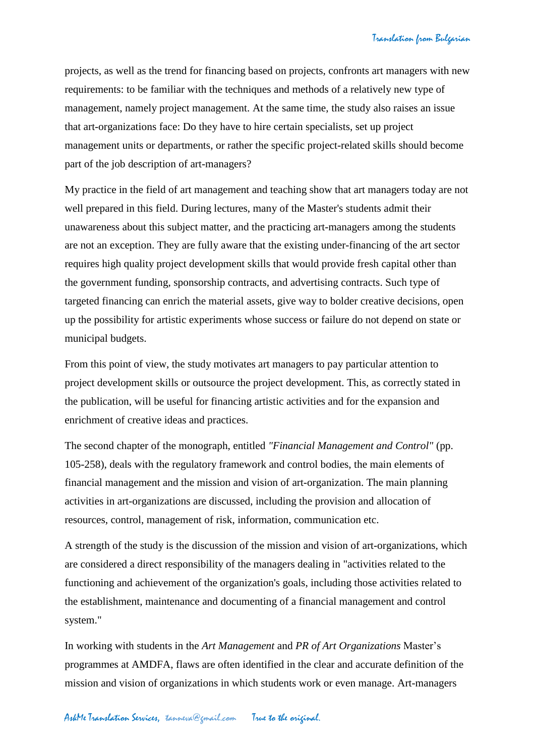projects, as well as the trend for financing based on projects, confronts art managers with new requirements: to be familiar with the techniques and methods of a relatively new type of management, namely project management. At the same time, the study also raises an issue that art-organizations face: Do they have to hire certain specialists, set up project management units or departments, or rather the specific project-related skills should become part of the job description of art-managers?

My practice in the field of art management and teaching show that art managers today are not well prepared in this field. During lectures, many of the Master's students admit their unawareness about this subject matter, and the practicing art-managers among the students are not an exception. They are fully aware that the existing under-financing of the art sector requires high quality project development skills that would provide fresh capital other than the government funding, sponsorship contracts, and advertising contracts. Such type of targeted financing can enrich the material assets, give way to bolder creative decisions, open up the possibility for artistic experiments whose success or failure do not depend on state or municipal budgets.

From this point of view, the study motivates art managers to pay particular attention to project development skills or outsource the project development. This, as correctly stated in the publication, will be useful for financing artistic activities and for the expansion and enrichment of creative ideas and practices.

The second chapter of the monograph, entitled *"Financial Management and Control"* (pp. 105-258), deals with the regulatory framework and control bodies, the main elements of financial management and the mission and vision of art-organization. The main planning activities in art-organizations are discussed, including the provision and allocation of resources, control, management of risk, information, communication etc.

A strength of the study is the discussion of the mission and vision of art-organizations, which are considered a direct responsibility of the managers dealing in "activities related to the functioning and achievement of the organization's goals, including those activities related to the establishment, maintenance and documenting of a financial management and control system."

In working with students in the *Art Management* and *PR of Art Organizations* Master's programmes at AMDFA, flaws are often identified in the clear and accurate definition of the mission and vision of organizations in which students work or even manage. Art-managers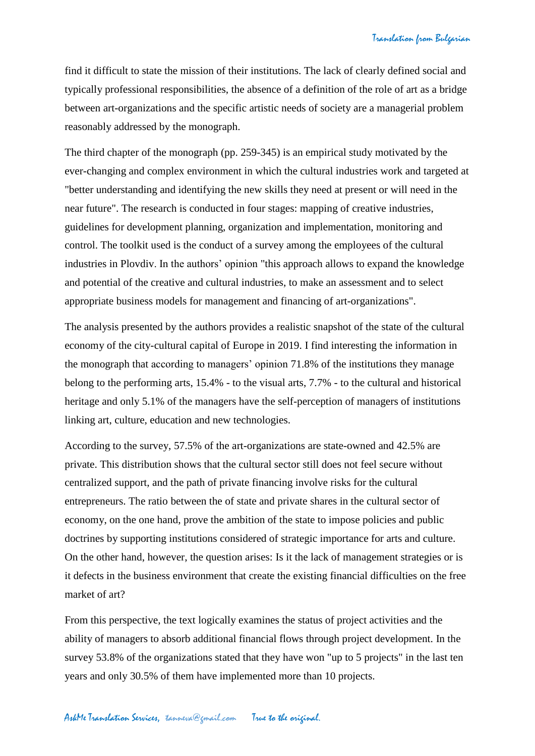find it difficult to state the mission of their institutions. The lack of clearly defined social and typically professional responsibilities, the absence of a definition of the role of art as a bridge between art-organizations and the specific artistic needs of society are a managerial problem reasonably addressed by the monograph.

The third chapter of the monograph (pp. 259-345) is an empirical study motivated by the ever-changing and complex environment in which the cultural industries work and targeted at "better understanding and identifying the new skills they need at present or will need in the near future". The research is conducted in four stages: mapping of creative industries, guidelines for development planning, organization and implementation, monitoring and control. The toolkit used is the conduct of a survey among the employees of the cultural industries in Plovdiv. In the authors' opinion "this approach allows to expand the knowledge and potential of the creative and cultural industries, to make an assessment and to select appropriate business models for management and financing of art-organizations".

The analysis presented by the authors provides a realistic snapshot of the state of the cultural economy of the city-cultural capital of Europe in 2019. I find interesting the information in the monograph that according to managers' opinion 71.8% of the institutions they manage belong to the performing arts, 15.4% - to the visual arts, 7.7% - to the cultural and historical heritage and only 5.1% of the managers have the self-perception of managers of institutions linking art, culture, education and new technologies.

According to the survey, 57.5% of the art-organizations are state-owned and 42.5% are private. This distribution shows that the cultural sector still does not feel secure without centralized support, and the path of private financing involve risks for the cultural entrepreneurs. The ratio between the of state and private shares in the cultural sector of economy, on the one hand, prove the ambition of the state to impose policies and public doctrines by supporting institutions considered of strategic importance for arts and culture. On the other hand, however, the question arises: Is it the lack of management strategies or is it defects in the business environment that create the existing financial difficulties on the free market of art?

From this perspective, the text logically examines the status of project activities and the ability of managers to absorb additional financial flows through project development. In the survey 53.8% of the organizations stated that they have won "up to 5 projects" in the last ten years and only 30.5% of them have implemented more than 10 projects.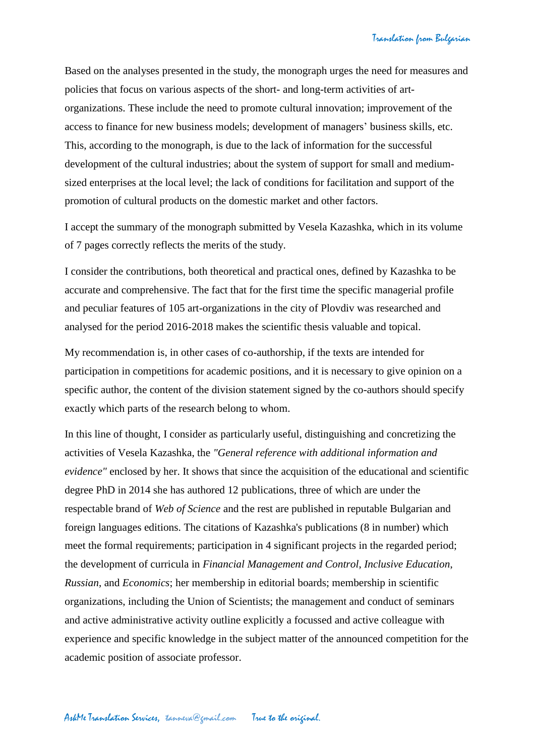Based on the analyses presented in the study, the monograph urges the need for measures and policies that focus on various aspects of the short- and long-term activities of artorganizations. These include the need to promote cultural innovation; improvement of the access to finance for new business models; development of managers' business skills, etc. This, according to the monograph, is due to the lack of information for the successful development of the cultural industries; about the system of support for small and mediumsized enterprises at the local level; the lack of conditions for facilitation and support of the promotion of cultural products on the domestic market and other factors.

I accept the summary of the monograph submitted by Vesela Kazashka, which in its volume of 7 pages correctly reflects the merits of the study.

I consider the contributions, both theoretical and practical ones, defined by Kazashka to be accurate and comprehensive. The fact that for the first time the specific managerial profile and peculiar features of 105 art-organizations in the city of Plovdiv was researched and analysed for the period 2016-2018 makes the scientific thesis valuable and topical.

My recommendation is, in other cases of co-authorship, if the texts are intended for participation in competitions for academic positions, and it is necessary to give opinion on a specific author, the content of the division statement signed by the co-authors should specify exactly which parts of the research belong to whom.

In this line of thought, I consider as particularly useful, distinguishing and concretizing the activities of Vesela Kazashka, the *"General reference with additional information and evidence"* enclosed by her. It shows that since the acquisition of the educational and scientific degree PhD in 2014 she has authored 12 publications, three of which are under the respectable brand of *Web of Science* and the rest are published in reputable Bulgarian and foreign languages editions. The citations of Kazashka's publications (8 in number) which meet the formal requirements; participation in 4 significant projects in the regarded period; the development of curricula in *Financial Management and Control*, *Inclusive Education*, *Russian*, and *Economics*; her membership in editorial boards; membership in scientific organizations, including the Union of Scientists; the management and conduct of seminars and active administrative activity outline explicitly a focussed and active colleague with experience and specific knowledge in the subject matter of the announced competition for the academic position of associate professor.